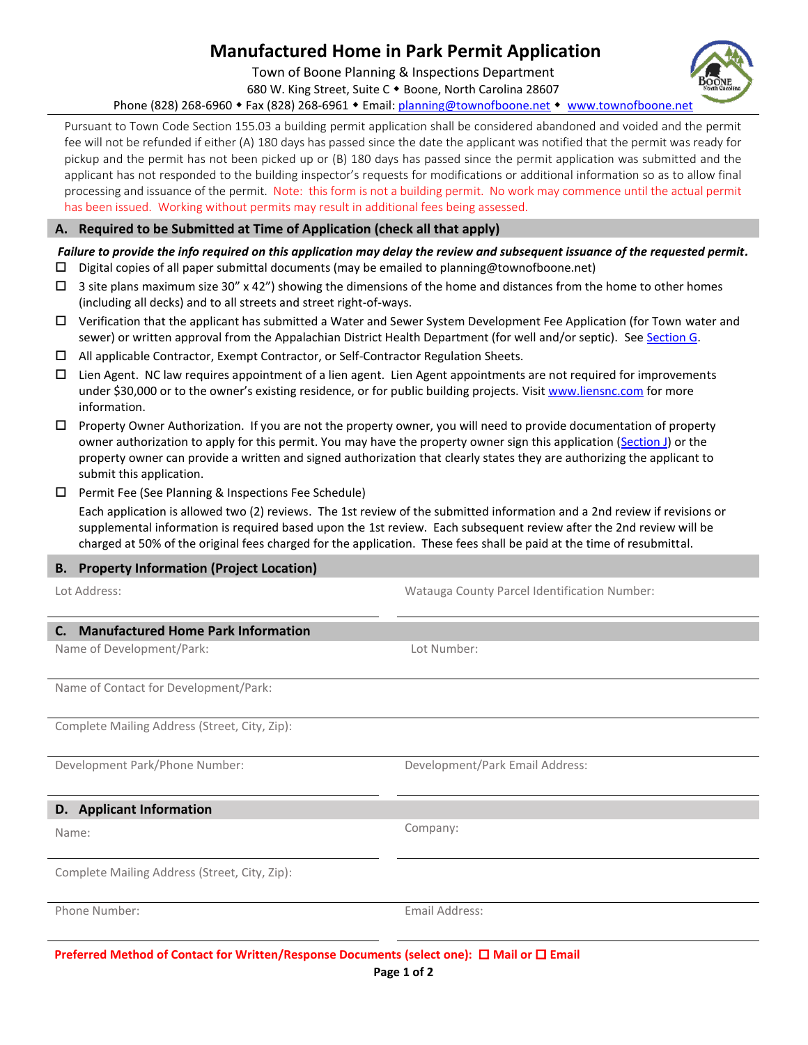## **Manufactured Home in Park Permit Application**

Town of Boone Planning & Inspections Department

680 W. King Street, Suite C . Boone, North Carolina 28607

Phone (828) 268-6960 • Fax (828) 268-6961 • Email: [planning@townofboone.net](mailto:planning@townofboone.net) • [www.townofboone.net](http://www.townofboone.net/)

Pursuant to Town Code Section 155.03 a building permit application shall be considered abandoned and voided and the permit fee will not be refunded if either (A) 180 days has passed since the date the applicant was notified that the permit was ready for pickup and the permit has not been picked up or (B) 180 days has passed since the permit application was submitted and the applicant has not responded to the building inspector's requests for modifications or additional information so as to allow final processing and issuance of the permit. Note: this form is not a building permit. No work may commence until the actual permit has been issued. Working without permits may result in additional fees being assessed.

## **A. Required to be Submitted at Time of Application (check all that apply)**

## *Failure to provide the info required on this application may delay the review and subsequent issuance of the requested permit.*

- $\square$  Digital copies of all paper submittal documents (may be emailed to planning@townofboone.net)
- $\Box$  3 site plans maximum size 30" x 42") showing the dimensions of the home and distances from the home to other homes (including all decks) and to all streets and street right-of-ways.
- $\Box$  Verification that the applicant has submitted a Water and Sewer System Development Fee Application (for Town water and sewer) or written approval from the Appalachian District Health Department (for well and/or septic). See [Section G.](#page-1-0)
- All applicable Contractor, Exempt Contractor, or Self-Contractor Regulation Sheets.
- $\Box$  Lien Agent. NC law requires appointment of a lien agent. Lien Agent appointments are not required for improvements under \$30,000 or to the owner's existing residence, or for public building projects. Visi[t www.liensnc.com](http://www.liensnc.com/) for more information.
- $\Box$  Property Owner Authorization. If you are not the property owner, you will need to provide documentation of property owner authorization to apply for this permit. You may have the property owner sign this application [\(Section J\)](#page-1-1) or the property owner can provide a written and signed authorization that clearly states they are authorizing the applicant to submit this application.

Lot Address: Watauga County Parcel Identification Number:

 $\Box$  Permit Fee (See Planning & Inspections Fee Schedule)

Each application is allowed two (2) reviews. The 1st review of the submitted information and a 2nd review if revisions or supplemental information is required based upon the 1st review. Each subsequent review after the 2nd review will be charged at 50% of the original fees charged for the application. These fees shall be paid at the time of resubmittal.

## **B. Property Information (Project Location)**

| <b>Manufactured Home Park Information</b><br>C.                                                      |                                 |  |
|------------------------------------------------------------------------------------------------------|---------------------------------|--|
| Name of Development/Park:                                                                            | Lot Number:                     |  |
| Name of Contact for Development/Park:                                                                |                                 |  |
| Complete Mailing Address (Street, City, Zip):                                                        |                                 |  |
| Development Park/Phone Number:                                                                       | Development/Park Email Address: |  |
| D. Applicant Information                                                                             |                                 |  |
| Name:                                                                                                | Company:                        |  |
| Complete Mailing Address (Street, City, Zip):                                                        |                                 |  |
| Phone Number:                                                                                        | Email Address:                  |  |
| Preferred Method of Contact for Written/Response Documents (select one): $\Box$ Mail or $\Box$ Email |                                 |  |

**Page 1 of 2**